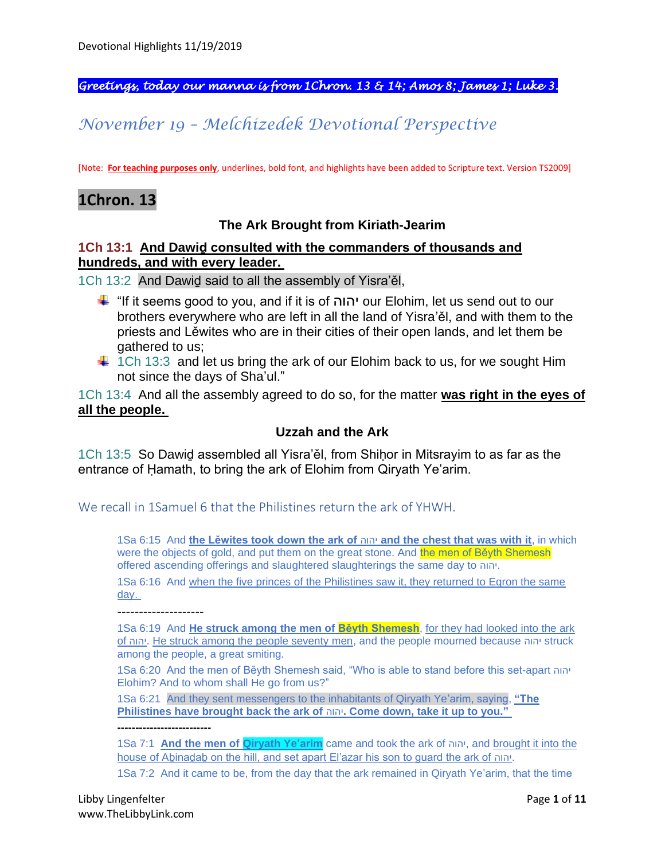*Greetings, today our manna is from 1Chron. 13 & 14; Amos 8; James 1; Luke 3.* 

# *November 19 – Melchizedek Devotional Perspective*

[Note: **For teaching purposes only**, underlines, bold font, and highlights have been added to Scripture text. Version TS2009]

## **1Chron. 13**

### **The Ark Brought from Kiriath-Jearim**

#### **1Ch 13:1 And Dawiḏ consulted with the commanders of thousands and hundreds, and with every leader.**

1Ch 13:2 And Dawiḏ said to all the assembly of Yisra'ěl,

- "If it seems good to you, and if it is of יהוה our Elohim, let us send out to our brothers everywhere who are left in all the land of Yisra'ěl, and with them to the priests and Lěwites who are in their cities of their open lands, and let them be gathered to us;
- $\ddot{+}$  1Ch 13:3 and let us bring the ark of our Elohim back to us, for we sought Him not since the days of Sha'ul."

1Ch 13:4 And all the assembly agreed to do so, for the matter **was right in the eyes of all the people.**

#### **Uzzah and the Ark**

1Ch 13:5 So Dawid assembled all Yisra'ěl, from Shihor in Mitsrayim to as far as the entrance of Ḥamath, to bring the ark of Elohim from Qiryath Ye'arim.

We recall in 1Samuel 6 that the Philistines return the ark of YHWH.

1Sa 6:15 And **the Lěwites took down the ark of** יהוה **and the chest that was with it**, in which were the objects of gold, and put them on the great stone. And the men of Beyth Shemesh offered ascending offerings and slaughtered slaughterings the same day to יהוה.

1Sa 6:16 And when the five princes of the Philistines saw it, they returned to Eqron the same day.

--------------------

**--------------------------**

1Sa 6:19 And **He struck among the men of Běyth Shemesh**, for they had looked into the ark of יהוה. He struck among the people seventy men, and the people mourned because יהוה struck among the people, a great smiting.

1Sa 6:20 And the men of Běyth Shemesh said, "Who is able to stand before this set-apart יהוה Elohim? And to whom shall He go from us?"

1Sa 6:21 And they sent messengers to the inhabitants of Qiryath Ye'arim, saying, **"The Philistines have brought back the ark of** יהוה**. Come down, take it up to you."**

1Sa 7:1 **And the men of Qiryath Ye'arim** came and took the ark of יהוה, and brought it into the house of Aḇinaḏaḇ on the hill, and set apart El'azar his son to guard the ark of יהוה.

1Sa 7:2 And it came to be, from the day that the ark remained in Qiryath Ye'arim, that the time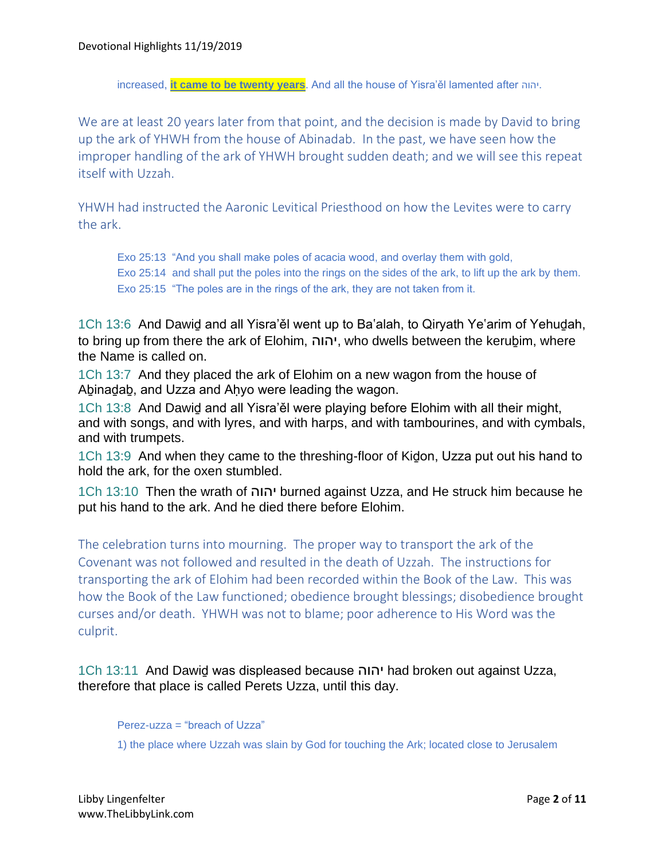increased, **it came to be twenty years**. And all the house of Yisra'ěl lamented after יהוה.

We are at least 20 years later from that point, and the decision is made by David to bring up the ark of YHWH from the house of Abinadab. In the past, we have seen how the improper handling of the ark of YHWH brought sudden death; and we will see this repeat itself with Uzzah.

YHWH had instructed the Aaronic Levitical Priesthood on how the Levites were to carry the ark.

Exo 25:13 "And you shall make poles of acacia wood, and overlay them with gold, Exo 25:14 and shall put the poles into the rings on the sides of the ark, to lift up the ark by them. Exo 25:15 "The poles are in the rings of the ark, they are not taken from it.

1Ch 13:6 And Dawiḏ and all Yisra'ěl went up to Ba'alah, to Qiryath Ye'arim of Yehuḏah, to bring up from there the ark of Elohim, יהוה, who dwells between the kerubim, where the Name is called on.

1Ch 13:7 And they placed the ark of Elohim on a new wagon from the house of Abinadab, and Uzza and Ahyo were leading the wagon.

1Ch 13:8 And Dawiḏ and all Yisra'ěl were playing before Elohim with all their might, and with songs, and with lyres, and with harps, and with tambourines, and with cymbals, and with trumpets.

1Ch 13:9 And when they came to the threshing-floor of Kiḏon, Uzza put out his hand to hold the ark, for the oxen stumbled.

1Ch 13:10 Then the wrath of יהוה burned against Uzza, and He struck him because he put his hand to the ark. And he died there before Elohim.

The celebration turns into mourning. The proper way to transport the ark of the Covenant was not followed and resulted in the death of Uzzah. The instructions for transporting the ark of Elohim had been recorded within the Book of the Law. This was how the Book of the Law functioned; obedience brought blessings; disobedience brought curses and/or death. YHWH was not to blame; poor adherence to His Word was the culprit.

1Ch 13:11 And Dawiḏ was displeased because יהוה had broken out against Uzza, therefore that place is called Perets Uzza, until this day.

Perez-uzza = "breach of Uzza"

1) the place where Uzzah was slain by God for touching the Ark; located close to Jerusalem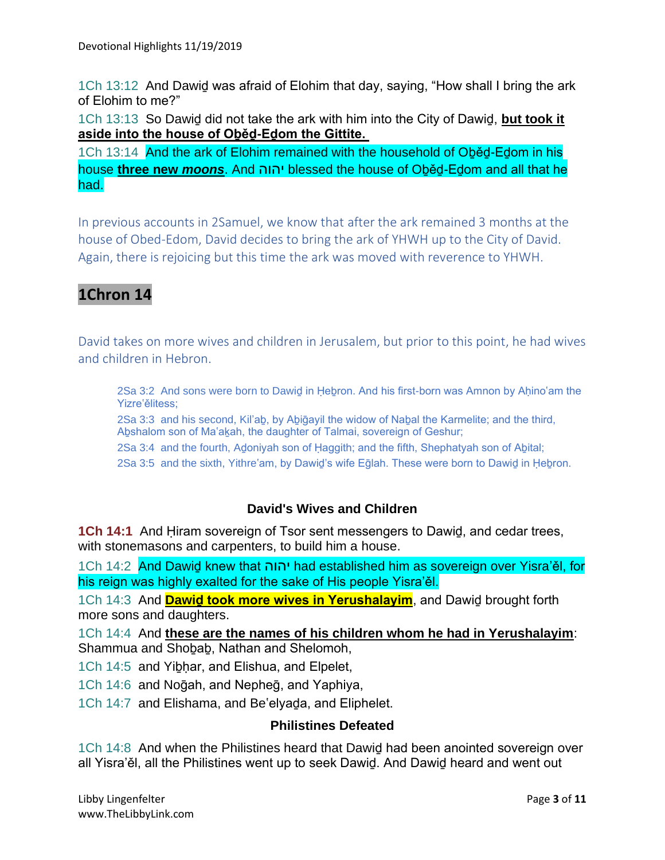1Ch 13:12 And Dawiḏ was afraid of Elohim that day, saying, "How shall I bring the ark of Elohim to me?"

1Ch 13:13 So Dawiḏ did not take the ark with him into the City of Dawiḏ, **but took it aside into the house of Oḇěḏ-Eḏom the Gittite.**

1Ch 13:14 And the ark of Elohim remained with the household of Oḇěḏ-Eḏom in his house **three new** *moons*. And יהוה blessed the house of Oḇěḏ-Eḏom and all that he had.

In previous accounts in 2Samuel, we know that after the ark remained 3 months at the house of Obed-Edom, David decides to bring the ark of YHWH up to the City of David. Again, there is rejoicing but this time the ark was moved with reverence to YHWH.

# **1Chron 14**

David takes on more wives and children in Jerusalem, but prior to this point, he had wives and children in Hebron.

2Sa 3:2 And sons were born to Dawid in Hebron. And his first-born was Amnon by Ahino'am the Yizre'ělitess;

2Sa 3:3 and his second, Kil'aḇ, by Aḇiḡayil the widow of Naḇal the Karmelite; and the third, Abshalom son of Ma'akah, the daughter of Talmai, sovereign of Geshur;

2Sa 3:4 and the fourth, Aḏoniyah son of Ḥaggith; and the fifth, Shephatyah son of Aḇital;

2Sa 3:5 and the sixth, Yithre'am, by Dawiḏ's wife Eḡlah. These were born to Dawiḏ in Ḥeḇron.

### **David's Wives and Children**

**1Ch 14:1** And Ḥiram sovereign of Tsor sent messengers to Dawiḏ, and cedar trees, with stonemasons and carpenters, to build him a house.

1Ch 14:2 And Dawiḏ knew that יהוה had established him as sovereign over Yisra'ěl, for his reign was highly exalted for the sake of His people Yisra'ěl.

1Ch 14:3 And **Dawiḏ took more wives in Yerushalayim**, and Dawiḏ brought forth more sons and daughters.

1Ch 14:4 And **these are the names of his children whom he had in Yerushalayim**: Shammua and Shoḇaḇ, Nathan and Shelomoh,

1Ch 14:5 and Yibhar, and Elishua, and Elpelet,

1Ch 14:6 and Noḡah, and Nepheḡ, and Yaphiya,

1Ch 14:7 and Elishama, and Be'elyaḏa, and Eliphelet.

### **Philistines Defeated**

1Ch 14:8 And when the Philistines heard that Dawiḏ had been anointed sovereign over all Yisra'ěl, all the Philistines went up to seek Dawiḏ. And Dawiḏ heard and went out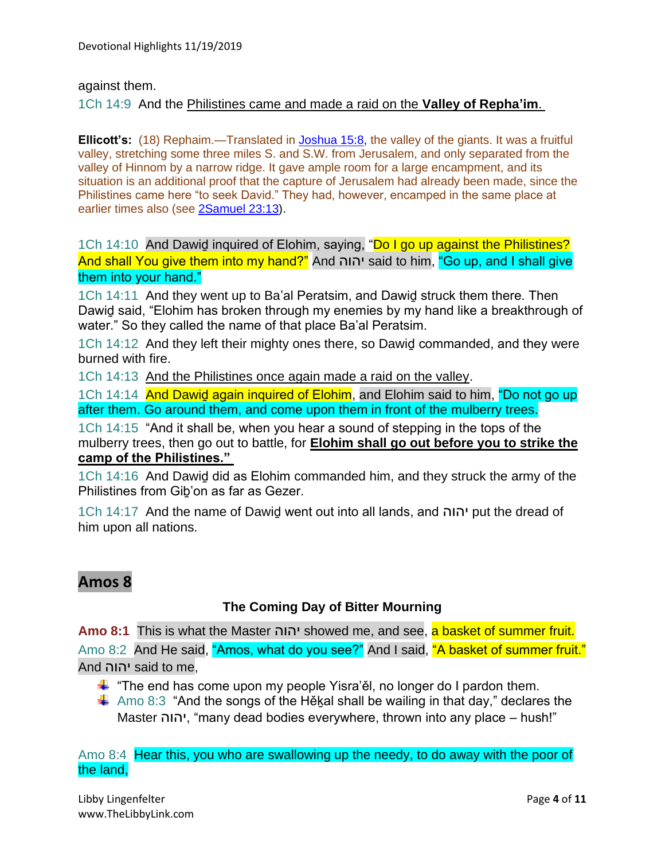against them.

#### 1Ch 14:9 And the Philistines came and made a raid on the **Valley of Repha'im**.

**Ellicott's:** (18) Rephaim.—Translated in [Joshua 15:8,](https://biblehub.com/joshua/15-8.htm) the valley of the giants. It was a fruitful valley, stretching some three miles S. and S.W. from Jerusalem, and only separated from the valley of Hinnom by a narrow ridge. It gave ample room for a large encampment, and its situation is an additional proof that the capture of Jerusalem had already been made, since the Philistines came here "to seek David." They had, however, encamped in the same place at earlier times also (see [2Samuel 23:13\)](https://biblehub.com/2_samuel/23-13.htm).

1Ch 14:10 And Dawid inquired of Elohim, saying, "Do I go up against the Philistines? And shall You give them into my hand?" And יהוה said to him, "Go up, and I shall give them into your hand."

1Ch 14:11 And they went up to Ba'al Peratsim, and Dawiḏ struck them there. Then Dawiḏ said, "Elohim has broken through my enemies by my hand like a breakthrough of water." So they called the name of that place Ba'al Peratsim.

1Ch 14:12 And they left their mighty ones there, so Dawiḏ commanded, and they were burned with fire.

1Ch 14:13 And the Philistines once again made a raid on the valley.

1Ch 14:14 And Dawid again inquired of Elohim, and Elohim said to him, "Do not go up after them. Go around them, and come upon them in front of the mulberry trees.

1Ch 14:15 "And it shall be, when you hear a sound of stepping in the tops of the mulberry trees, then go out to battle, for **Elohim shall go out before you to strike the camp of the Philistines."**

1Ch 14:16 And Dawiḏ did as Elohim commanded him, and they struck the army of the Philistines from Giḇ'on as far as Gezer.

1Ch 14:17 And the name of Dawiḏ went out into all lands, and יהוה put the dread of him upon all nations.

# **Amos 8**

### **The Coming Day of Bitter Mourning**

**Amo 8:1** This is what the Master יהוה showed me, and see, a basket of summer fruit. Amo 8:2 And He said, "Amos, what do you see?" And I said, "A basket of summer fruit." And יהוה said to me,

- $\ddag$  "The end has come upon my people Yisra'ěl, no longer do I pardon them.
- $\ddot$  Amo 8:3 "And the songs of the Hĕkal shall be wailing in that day," declares the Master יהוה," many dead bodies everywhere, thrown into any place – hush!"

Amo 8:4 Hear this, you who are swallowing up the needy, to do away with the poor of the land,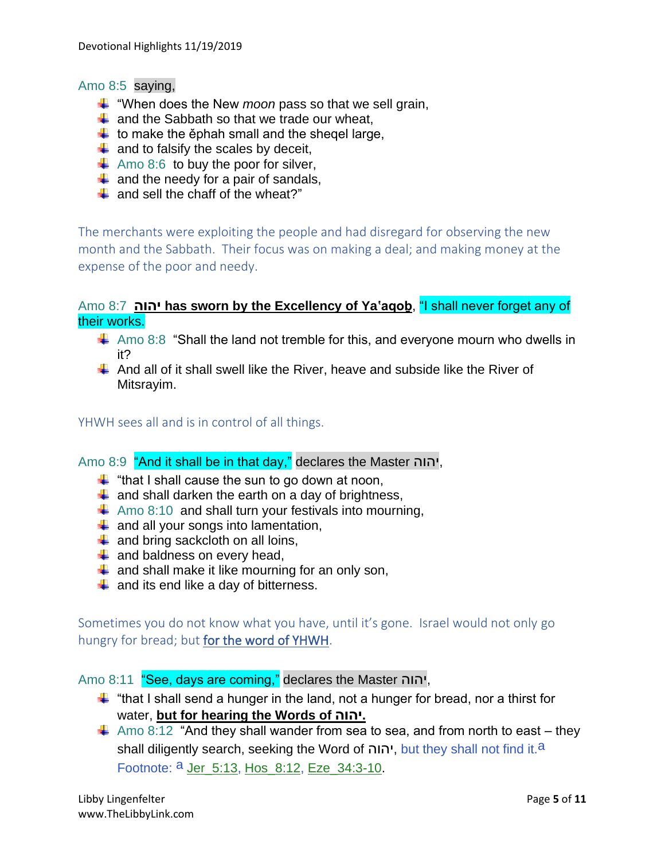#### Amo 8:5 saying,

- "When does the New *moon* pass so that we sell grain,
- $\downarrow$  and the Sabbath so that we trade our wheat,
- $\downarrow$  to make the ephah small and the shegel large,
- $\downarrow$  and to falsify the scales by deceit,
- $\uparrow$  Amo 8:6 to buy the poor for silver,
- $\downarrow$  and the needy for a pair of sandals,
- $\pm$  and sell the chaff of the wheat?"

The merchants were exploiting the people and had disregard for observing the new month and the Sabbath. Their focus was on making a deal; and making money at the expense of the poor and needy.

### Amo 8:7 **יהוה has sworn by the Excellency of Ya'aqoḇ**, "I shall never forget any of their works.

- $\ddot{*}$  Amo 8:8 "Shall the land not tremble for this, and everyone mourn who dwells in it?
- $\ddot{\bullet}$  And all of it shall swell like the River, heave and subside like the River of Mitsrayim.

YHWH sees all and is in control of all things.

### Amo 8:9 "And it shall be in that day," declares the Master יהוה,

- $\ddot{+}$  "that I shall cause the sun to go down at noon,
- $\downarrow$  and shall darken the earth on a day of brightness,
- $\overline{+}$  Amo 8:10 and shall turn your festivals into mourning,
- $\downarrow$  and all your songs into lamentation,
- $\ddot{+}$  and bring sackcloth on all loins,
- $\downarrow$  and baldness on every head,
- $\downarrow$  and shall make it like mourning for an only son,
- $\ddot{+}$  and its end like a day of bitterness.

Sometimes you do not know what you have, until it's gone. Israel would not only go hungry for bread; but for the word of YHWH.

#### Amo 8:11 "See, days are coming," declares the Master יהוה,

- $\ddot$  "that I shall send a hunger in the land, not a hunger for bread, nor a thirst for water, **but for hearing the Words of יהוה.**
- $\downarrow$  Amo 8:12 "And they shall wander from sea to sea, and from north to east they shall diligently search, seeking the Word of יהוה, but they shall not find it.<sup>a</sup> Footnote: <sup>a</sup> Jer\_5:13, Hos\_8:12, Eze\_34:3-10.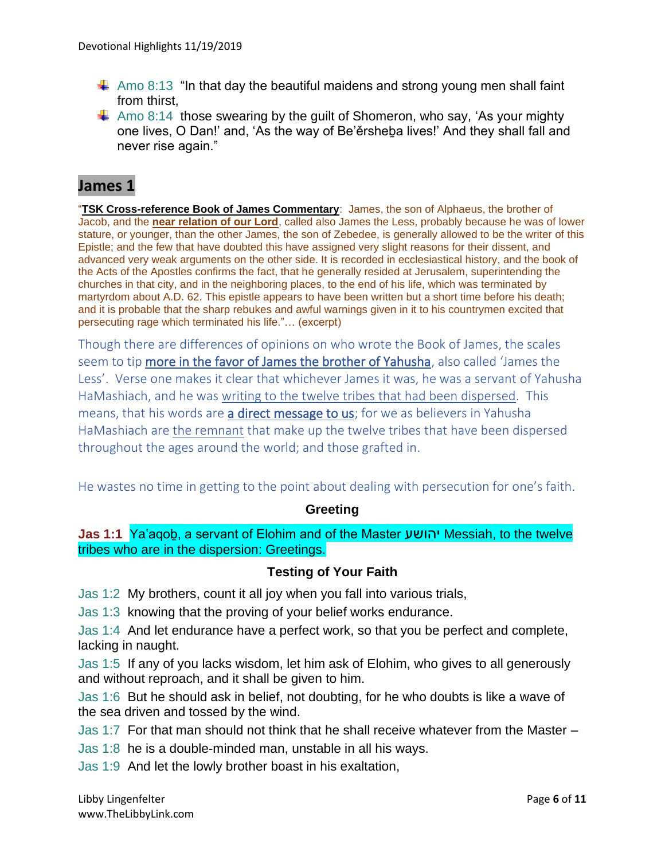- $\downarrow$  Amo 8:13 "In that day the beautiful maidens and strong young men shall faint from thirst,
- $\ddot{\bullet}$  Amo 8:14 those swearing by the quilt of Shomeron, who say, 'As your mighty one lives, O Dan!' and, 'As the way of Be'ěrsheḇa lives!' And they shall fall and never rise again."

## **James 1**

"**TSK Cross-reference Book of James Commentary**: James, the son of Alphaeus, the brother of Jacob, and the **near relation of our Lord**, called also James the Less, probably because he was of lower stature, or younger, than the other James, the son of Zebedee, is generally allowed to be the writer of this Epistle; and the few that have doubted this have assigned very slight reasons for their dissent, and advanced very weak arguments on the other side. It is recorded in ecclesiastical history, and the book of the Acts of the Apostles confirms the fact, that he generally resided at Jerusalem, superintending the churches in that city, and in the neighboring places, to the end of his life, which was terminated by martyrdom about A.D. 62. This epistle appears to have been written but a short time before his death; and it is probable that the sharp rebukes and awful warnings given in it to his countrymen excited that persecuting rage which terminated his life."… (excerpt)

Though there are differences of opinions on who wrote the Book of James, the scales seem to tip more in the favor of James the brother of Yahusha, also called 'James the Less'. Verse one makes it clear that whichever James it was, he was a servant of Yahusha HaMashiach, and he was writing to the twelve tribes that had been dispersed. This means, that his words are a direct message to us; for we as believers in Yahusha HaMashiach are the remnant that make up the twelve tribes that have been dispersed throughout the ages around the world; and those grafted in.

He wastes no time in getting to the point about dealing with persecution for one's faith.

### **Greeting**

**Jas 1:1** Ya'aqoḇ, a servant of Elohim and of the Master יהושע Messiah, to the twelve tribes who are in the dispersion: Greetings.

### **Testing of Your Faith**

Jas 1:2 My brothers, count it all joy when you fall into various trials,

Jas 1:3 knowing that the proving of your belief works endurance.

Jas 1:4 And let endurance have a perfect work, so that you be perfect and complete, lacking in naught.

Jas 1:5 If any of you lacks wisdom, let him ask of Elohim, who gives to all generously and without reproach, and it shall be given to him.

Jas 1:6 But he should ask in belief, not doubting, for he who doubts is like a wave of the sea driven and tossed by the wind.

Jas 1:7 For that man should not think that he shall receive whatever from the Master –

Jas 1:8 he is a double-minded man, unstable in all his ways.

Jas 1:9 And let the lowly brother boast in his exaltation,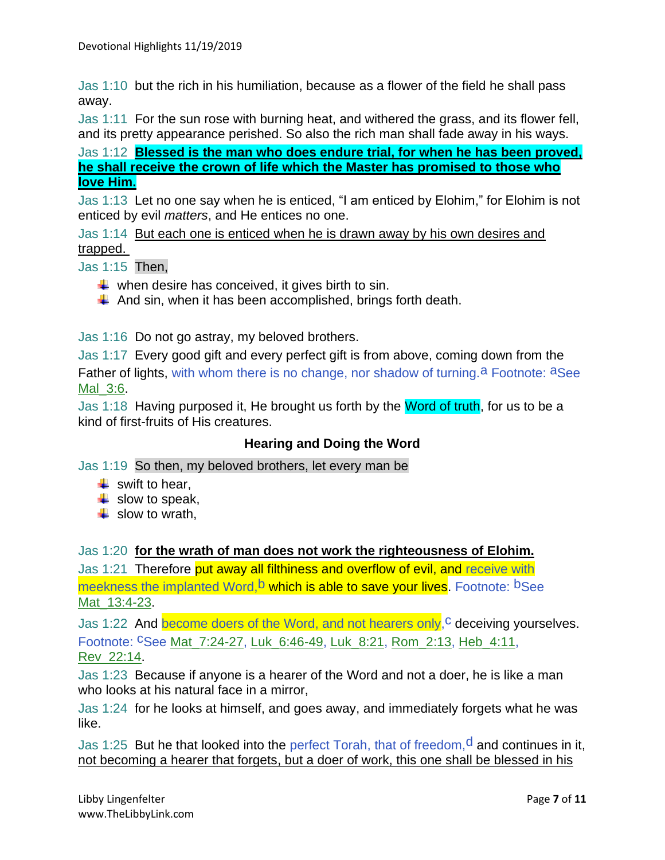Jas 1:10 but the rich in his humiliation, because as a flower of the field he shall pass away.

Jas 1:11 For the sun rose with burning heat, and withered the grass, and its flower fell, and its pretty appearance perished. So also the rich man shall fade away in his ways.

Jas 1:12 **Blessed is the man who does endure trial, for when he has been proved, he shall receive the crown of life which the Master has promised to those who love Him.**

Jas 1:13 Let no one say when he is enticed, "I am enticed by Elohim," for Elohim is not enticed by evil *matters*, and He entices no one.

Jas 1:14 But each one is enticed when he is drawn away by his own desires and trapped.

Jas 1:15 Then,

- $\downarrow$  when desire has conceived, it gives birth to sin.
- $\downarrow$  And sin, when it has been accomplished, brings forth death.

Jas 1:16 Do not go astray, my beloved brothers.

Jas 1:17 Every good gift and every perfect gift is from above, coming down from the Father of lights, with whom there is no change, nor shadow of turning.<sup>a</sup> Footnote: <sup>a</sup>See Mal\_3:6.

Jas 1:18 Having purposed it, He brought us forth by the Word of truth, for us to be a kind of first-fruits of His creatures.

### **Hearing and Doing the Word**

Jas 1:19 So then, my beloved brothers, let every man be

- $\ddot{\bullet}$  swift to hear.
- $\downarrow$  slow to speak,
- $\frac{1}{2}$  slow to wrath,

Jas 1:20 **for the wrath of man does not work the righteousness of Elohim.**

Jas 1:21 Therefore put away all filthiness and overflow of evil, and receive with meekness the implanted Word, b which is able to save your lives. Footnote: bSee Mat 13:4-23.

Jas 1:22 And become doers of the Word, and not hearers only, <sup>c</sup> deceiving yourselves. Footnote: cSee Mat\_7:24-27, Luk\_6:46-49, Luk\_8:21, Rom\_2:13, Heb\_4:11, Rev\_22:14.

Jas 1:23 Because if anyone is a hearer of the Word and not a doer, he is like a man who looks at his natural face in a mirror,

Jas 1:24 for he looks at himself, and goes away, and immediately forgets what he was like.

Jas 1:25 But he that looked into the perfect Torah, that of freedom,  $d$  and continues in it, not becoming a hearer that forgets, but a doer of work, this one shall be blessed in his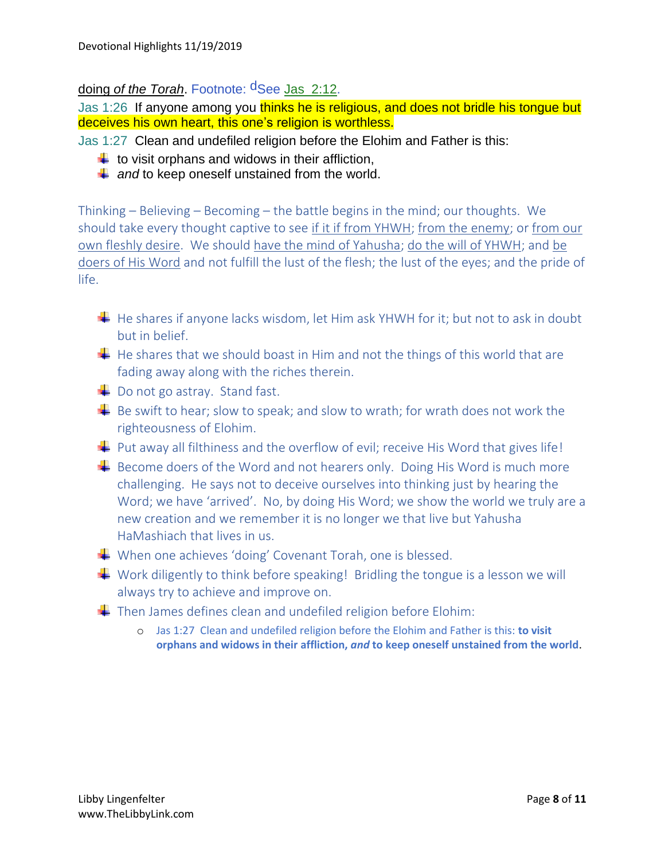## doing *of the Torah*. Footnote: dSee Jas\_2:12.

Jas 1:26 If anyone among you thinks he is religious, and does not bridle his tonque but deceives his own heart, this one's religion is worthless.

Jas 1:27 Clean and undefiled religion before the Elohim and Father is this:

- $\downarrow$  to visit orphans and widows in their affliction,
- $\downarrow$  and to keep oneself unstained from the world.

Thinking – Believing – Becoming – the battle begins in the mind; our thoughts. We should take every thought captive to see if it if from YHWH; from the enemy; or from our own fleshly desire. We should have the mind of Yahusha; do the will of YHWH; and be doers of His Word and not fulfill the lust of the flesh; the lust of the eyes; and the pride of life.

- $\downarrow$  He shares if anyone lacks wisdom, let Him ask YHWH for it; but not to ask in doubt but in belief.
- $\downarrow$  He shares that we should boast in Him and not the things of this world that are fading away along with the riches therein.
- $\downarrow$  Do not go astray. Stand fast.
- $\ddot{+}$  Be swift to hear; slow to speak; and slow to wrath; for wrath does not work the righteousness of Elohim.
- $\downarrow$  Put away all filthiness and the overflow of evil; receive His Word that gives life!
- $\overline{\phantom{a}}$  Become doers of the Word and not hearers only. Doing His Word is much more challenging. He says not to deceive ourselves into thinking just by hearing the Word; we have 'arrived'. No, by doing His Word; we show the world we truly are a new creation and we remember it is no longer we that live but Yahusha HaMashiach that lives in us.
- When one achieves 'doing' Covenant Torah, one is blessed.
- $\downarrow$  Work diligently to think before speaking! Bridling the tongue is a lesson we will always try to achieve and improve on.
- $\downarrow$  Then James defines clean and undefiled religion before Elohim:
	- o Jas 1:27 Clean and undefiled religion before the Elohim and Father is this: **to visit orphans and widows in their affliction,** *and* **to keep oneself unstained from the world**.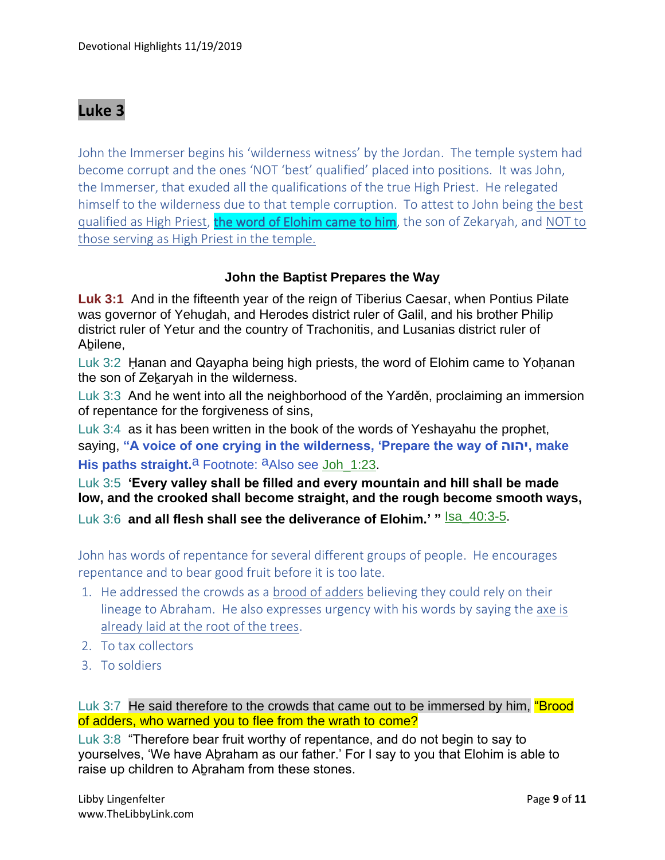# **Luke 3**

John the Immerser begins his 'wilderness witness' by the Jordan. The temple system had become corrupt and the ones 'NOT 'best' qualified' placed into positions. It was John, the Immerser, that exuded all the qualifications of the true High Priest. He relegated himself to the wilderness due to that temple corruption. To attest to John being the best qualified as High Priest, the word of Elohim came to him, the son of Zekaryah, and NOT to those serving as High Priest in the temple.

#### **John the Baptist Prepares the Way**

**Luk 3:1** And in the fifteenth year of the reign of Tiberius Caesar, when Pontius Pilate was governor of Yehudah, and Herodes district ruler of Galil, and his brother Philip district ruler of Yetur and the country of Trachonitis, and Lusanias district ruler of Abilene,

Luk 3:2 Ḥanan and Qayapha being high priests, the word of Elohim came to Yoḥanan the son of Zekaryah in the wilderness.

Luk 3:3 And he went into all the neighborhood of the Yarděn, proclaiming an immersion of repentance for the forgiveness of sins,

Luk 3:4 as it has been written in the book of the words of Yeshayahu the prophet, saying, **"A voice of one crying in the wilderness, 'Prepare the way of יהוה, make**  His paths straight.<sup>a</sup> Footnote: <sup>a</sup>Also see Joh 1:23.

Luk 3:5 **'Every valley shall be filled and every mountain and hill shall be made low, and the crooked shall become straight, and the rough become smooth ways,** Luk 3:6 **and all flesh shall see the deliverance of Elohim.' "** Isa\_40:3-5.

John has words of repentance for several different groups of people. He encourages repentance and to bear good fruit before it is too late.

- 1. He addressed the crowds as a brood of adders believing they could rely on their lineage to Abraham. He also expresses urgency with his words by saying the axe is already laid at the root of the trees.
- 2. To tax collectors
- 3. To soldiers

Luk 3:7 He said therefore to the crowds that came out to be immersed by him, "Brood of adders, who warned you to flee from the wrath to come?

Luk 3:8 "Therefore bear fruit worthy of repentance, and do not begin to say to yourselves, 'We have Aḇraham as our father.' For I say to you that Elohim is able to raise up children to Aḇraham from these stones.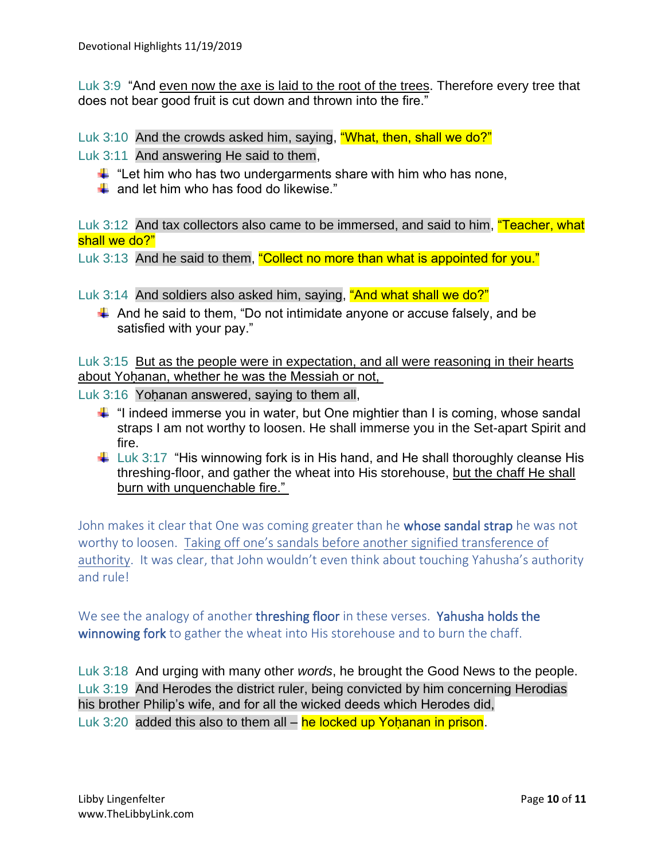Luk 3:9 "And even now the axe is laid to the root of the trees. Therefore every tree that does not bear good fruit is cut down and thrown into the fire."

Luk 3:10 And the crowds asked him, saying, "What, then, shall we do?"

Luk 3:11 And answering He said to them,

- $\ddot{\text{+}}$  "Let him who has two undergarments share with him who has none,
- $\frac{1}{\sqrt{2}}$  and let him who has food do likewise."

Luk 3:12 And tax collectors also came to be immersed, and said to him, "Teacher, what shall we do?"

Luk 3:13 And he said to them, "Collect no more than what is appointed for you."

Luk 3:14 And soldiers also asked him, saying, "And what shall we do?"

 $\ddot{+}$  And he said to them, "Do not intimidate anyone or accuse falsely, and be satisfied with your pay."

Luk 3:15 But as the people were in expectation, and all were reasoning in their hearts about Yohanan, whether he was the Messiah or not,

Luk 3:16 Yohanan answered, saying to them all,

- $\ddot{\phantom{1}}$  "I indeed immerse you in water, but One mightier than I is coming, whose sandal straps I am not worthy to loosen. He shall immerse you in the Set-apart Spirit and fire.
- $\ddot{\phantom{1}}$  Luk 3:17 "His winnowing fork is in His hand, and He shall thoroughly cleanse His threshing-floor, and gather the wheat into His storehouse, but the chaff He shall burn with unquenchable fire."

John makes it clear that One was coming greater than he whose sandal strap he was not worthy to loosen. Taking off one's sandals before another signified transference of authority. It was clear, that John wouldn't even think about touching Yahusha's authority and rule!

We see the analogy of another threshing floor in these verses. Yahusha holds the winnowing fork to gather the wheat into His storehouse and to burn the chaff.

Luk 3:18 And urging with many other *words*, he brought the Good News to the people. Luk 3:19 And Herodes the district ruler, being convicted by him concerning Herodias his brother Philip's wife, and for all the wicked deeds which Herodes did,

Luk 3:20 added this also to them all  $-$  he locked up Yoḥanan in prison.